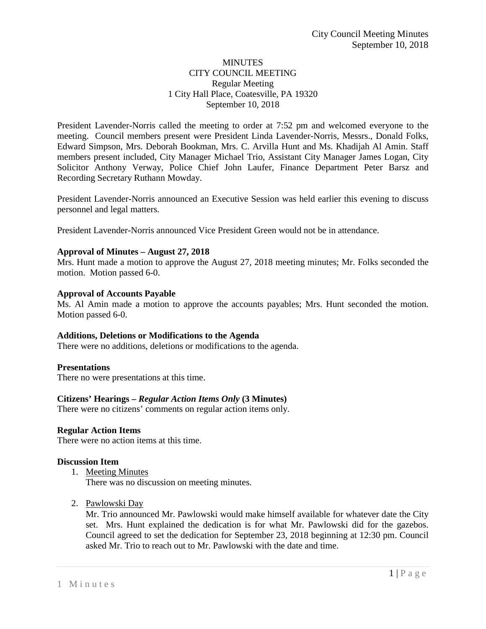## **MINUTES** CITY COUNCIL MEETING Regular Meeting 1 City Hall Place, Coatesville, PA 19320 September 10, 2018

President Lavender-Norris called the meeting to order at 7:52 pm and welcomed everyone to the meeting. Council members present were President Linda Lavender-Norris, Messrs., Donald Folks, Edward Simpson, Mrs. Deborah Bookman, Mrs. C. Arvilla Hunt and Ms. Khadijah Al Amin. Staff members present included, City Manager Michael Trio, Assistant City Manager James Logan, City Solicitor Anthony Verway, Police Chief John Laufer, Finance Department Peter Barsz and Recording Secretary Ruthann Mowday.

President Lavender-Norris announced an Executive Session was held earlier this evening to discuss personnel and legal matters.

President Lavender-Norris announced Vice President Green would not be in attendance.

## **Approval of Minutes – August 27, 2018**

Mrs. Hunt made a motion to approve the August 27, 2018 meeting minutes; Mr. Folks seconded the motion. Motion passed 6-0.

## **Approval of Accounts Payable**

Ms. Al Amin made a motion to approve the accounts payables; Mrs. Hunt seconded the motion. Motion passed 6-0.

### **Additions, Deletions or Modifications to the Agenda**

There were no additions, deletions or modifications to the agenda.

### **Presentations**

There no were presentations at this time.

### **Citizens' Hearings –** *Regular Action Items Only* **(3 Minutes)**

There were no citizens' comments on regular action items only.

### **Regular Action Items**

There were no action items at this time.

### **Discussion Item**

1. Meeting Minutes

There was no discussion on meeting minutes.

2. Pawlowski Day

Mr. Trio announced Mr. Pawlowski would make himself available for whatever date the City set. Mrs. Hunt explained the dedication is for what Mr. Pawlowski did for the gazebos. Council agreed to set the dedication for September 23, 2018 beginning at 12:30 pm. Council asked Mr. Trio to reach out to Mr. Pawlowski with the date and time.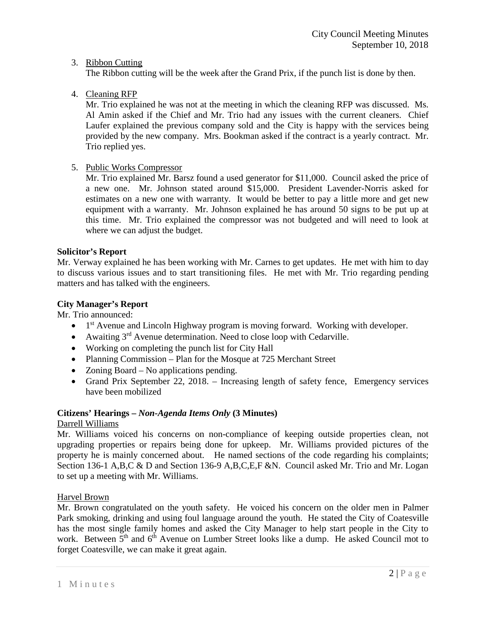## 3. Ribbon Cutting

The Ribbon cutting will be the week after the Grand Prix, if the punch list is done by then.

# 4. Cleaning RFP

Mr. Trio explained he was not at the meeting in which the cleaning RFP was discussed. Ms. Al Amin asked if the Chief and Mr. Trio had any issues with the current cleaners. Chief Laufer explained the previous company sold and the City is happy with the services being provided by the new company. Mrs. Bookman asked if the contract is a yearly contract. Mr. Trio replied yes.

# 5. Public Works Compressor

Mr. Trio explained Mr. Barsz found a used generator for \$11,000. Council asked the price of a new one. Mr. Johnson stated around \$15,000. President Lavender-Norris asked for estimates on a new one with warranty. It would be better to pay a little more and get new equipment with a warranty. Mr. Johnson explained he has around 50 signs to be put up at this time. Mr. Trio explained the compressor was not budgeted and will need to look at where we can adjust the budget.

## **Solicitor's Report**

Mr. Verway explained he has been working with Mr. Carnes to get updates. He met with him to day to discuss various issues and to start transitioning files. He met with Mr. Trio regarding pending matters and has talked with the engineers.

## **City Manager's Report**

Mr. Trio announced:

- $\bullet$  1<sup>st</sup> Avenue and Lincoln Highway program is moving forward. Working with developer.
- Awaiting  $3<sup>rd</sup>$  Avenue determination. Need to close loop with Cedarville.
- Working on completing the punch list for City Hall
- Planning Commission Plan for the Mosque at 725 Merchant Street
- Zoning Board No applications pending.
- Grand Prix September 22, 2018. Increasing length of safety fence, Emergency services have been mobilized

## **Citizens' Hearings –** *Non-Agenda Items Only* **(3 Minutes)**

Darrell Williams

Mr. Williams voiced his concerns on non-compliance of keeping outside properties clean, not upgrading properties or repairs being done for upkeep. Mr. Williams provided pictures of the property he is mainly concerned about. He named sections of the code regarding his complaints; Section 136-1 A,B,C & D and Section 136-9 A,B,C,E,F &N. Council asked Mr. Trio and Mr. Logan to set up a meeting with Mr. Williams.

## Harvel Brown

Mr. Brown congratulated on the youth safety. He voiced his concern on the older men in Palmer Park smoking, drinking and using foul language around the youth. He stated the City of Coatesville has the most single family homes and asked the City Manager to help start people in the City to work. Between 5<sup>th</sup> and 6<sup>th</sup> Avenue on Lumber Street looks like a dump. He asked Council mot to forget Coatesville, we can make it great again.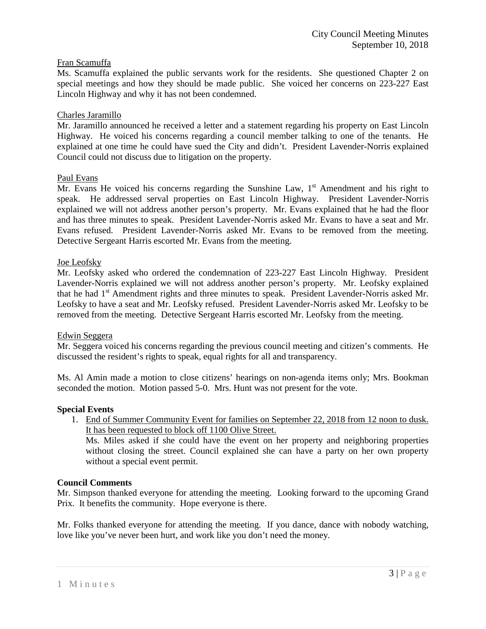## Fran Scamuffa

Ms. Scamuffa explained the public servants work for the residents. She questioned Chapter 2 on special meetings and how they should be made public. She voiced her concerns on 223-227 East Lincoln Highway and why it has not been condemned.

### Charles Jaramillo

Mr. Jaramillo announced he received a letter and a statement regarding his property on East Lincoln Highway. He voiced his concerns regarding a council member talking to one of the tenants. He explained at one time he could have sued the City and didn't. President Lavender-Norris explained Council could not discuss due to litigation on the property.

### Paul Evans

Mr. Evans He voiced his concerns regarding the Sunshine Law,  $1<sup>st</sup>$  Amendment and his right to speak. He addressed serval properties on East Lincoln Highway. President Lavender-Norris explained we will not address another person's property. Mr. Evans explained that he had the floor and has three minutes to speak. President Lavender-Norris asked Mr. Evans to have a seat and Mr. Evans refused. President Lavender-Norris asked Mr. Evans to be removed from the meeting. Detective Sergeant Harris escorted Mr. Evans from the meeting.

## Joe Leofsky

Mr. Leofsky asked who ordered the condemnation of 223-227 East Lincoln Highway. President Lavender-Norris explained we will not address another person's property. Mr. Leofsky explained that he had 1<sup>st</sup> Amendment rights and three minutes to speak. President Lavender-Norris asked Mr. Leofsky to have a seat and Mr. Leofsky refused. President Lavender-Norris asked Mr. Leofsky to be removed from the meeting. Detective Sergeant Harris escorted Mr. Leofsky from the meeting.

### Edwin Seggera

Mr. Seggera voiced his concerns regarding the previous council meeting and citizen's comments. He discussed the resident's rights to speak, equal rights for all and transparency.

Ms. Al Amin made a motion to close citizens' hearings on non-agenda items only; Mrs. Bookman seconded the motion. Motion passed 5-0. Mrs. Hunt was not present for the vote.

### **Special Events**

1. End of Summer Community Event for families on September 22, 2018 from 12 noon to dusk. It has been requested to block off 1100 Olive Street.

Ms. Miles asked if she could have the event on her property and neighboring properties without closing the street. Council explained she can have a party on her own property without a special event permit.

### **Council Comments**

Mr. Simpson thanked everyone for attending the meeting. Looking forward to the upcoming Grand Prix. It benefits the community. Hope everyone is there.

Mr. Folks thanked everyone for attending the meeting. If you dance, dance with nobody watching, love like you've never been hurt, and work like you don't need the money.